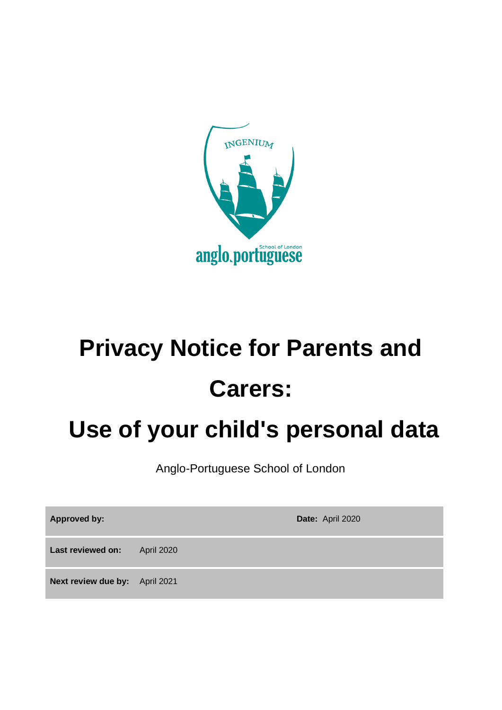

# **Privacy Notice for Parents and Carers:**

## **Use of your child's personal data**

Anglo-Portuguese School of London

| <b>Approved by:</b>            |                   | Date: April 2020 |
|--------------------------------|-------------------|------------------|
| Last reviewed on:              | <b>April 2020</b> |                  |
| Next review due by: April 2021 |                   |                  |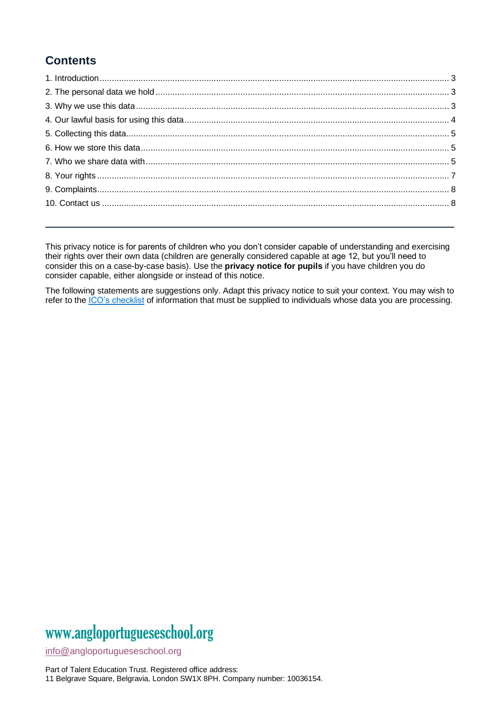### **Contents**

This privacy notice is for parents of children who you don't consider capable of understanding and exercising their rights over their own data (children are generally considered capable at age 12, but you'll need to consider this on a case-by-case basis). Use the **privacy notice for pupils** if you have children you do consider capable, either alongside or instead of this notice.

<span id="page-1-0"></span>The following statements are suggestions only. Adapt this privacy notice to suit your context. You may wish to refer to the [ICO's checklist](https://ico.org.uk/for-organisations/guide-to-data-protection/guide-to-the-general-data-protection-regulation-gdpr/individual-rights/right-to-be-informed/) of information that must be supplied to individuals whose data you are processing.

## www[.angloportugueseschool.org](https://angloportugueseschool.org/)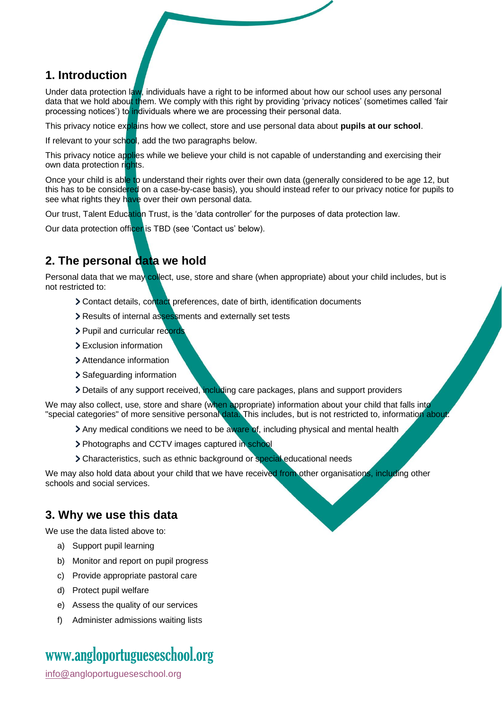#### **1. Introduction**

Under data protection law, individuals have a right to be informed about how our school uses any personal data that we hold about them. We comply with this right by providing 'privacy notices' (sometimes called 'fair processing notices') to individuals where we are processing their personal data.

This privacy notice explains how we collect, store and use personal data about **pupils at our school**.

If relevant to your school, add the two paragraphs below.

This privacy notice applies while we believe your child is not capable of understanding and exercising their own data protection rights.

Once your child is able to understand their rights over their own data (generally considered to be age 12, but this has to be considered on a case-by-case basis), you should instead refer to our privacy notice for pupils to see what rights they have over their own personal data.

Our trust, Talent Education Trust, is the 'data controller' for the purposes of data protection law.

Our data protection officer is TBD (see 'Contact us' below).

#### <span id="page-2-0"></span>**2. The personal data we hold**

Personal data that we may collect, use, store and share (when appropriate) about your child includes, but is not restricted to:

- Contact details, contact preferences, date of birth, identification documents
- > Results of internal assessments and externally set tests
- > Pupil and curricular records
- > Exclusion information
- > Attendance information
- > Safeguarding information
- Details of any support received, including care packages, plans and support providers

We may also collect, use, store and share (when appropriate) information about your child that falls into "special categories" of more sensitive personal data. This includes, but is not restricted to, information about:

- If Any medical conditions we need to be aware of, including physical and mental health
- > Photographs and CCTV images captured in school
- > Characteristics, such as ethnic background or special educational needs

We may also hold data about your child that we have received from other organisations, including other schools and social services.

#### <span id="page-2-1"></span>**3. Why we use this data**

We use the data listed above to:

- a) Support pupil learning
- b) Monitor and report on pupil progress
- c) Provide appropriate pastoral care
- d) Protect pupil welfare
- e) Assess the quality of our services
- f) Administer admissions waiting lists

## www[.angloportugueseschool.org](https://angloportugueseschool.org/)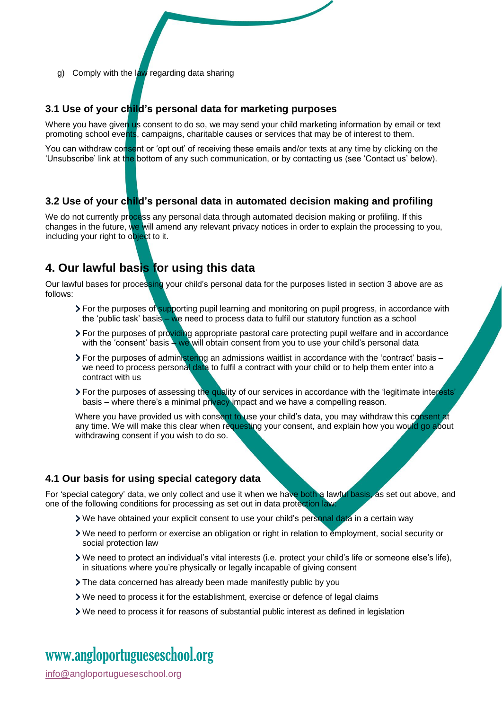g) Comply with the law regarding data sharing

#### **3.1 Use of your child's personal data for marketing purposes**

Where you have given us consent to do so, we may send your child marketing information by email or text promoting school events, campaigns, charitable causes or services that may be of interest to them.

You can withdraw consent or 'opt out' of receiving these emails and/or texts at any time by clicking on the 'Unsubscribe' link at the bottom of any such communication, or by contacting us (see 'Contact us' below).

#### **3.2 Use of your child's personal data in automated decision making and profiling**

We do not currently process any personal data through automated decision making or profiling. If this changes in the future, we will amend any relevant privacy notices in order to explain the processing to you, including your right to object to it.

#### <span id="page-3-0"></span>**4. Our lawful basis for using this data**

Our lawful bases for processing your child's personal data for the purposes listed in section 3 above are as follows:

- > For the purposes of supporting pupil learning and monitoring on pupil progress, in accordance with the 'public task' basis – we need to process data to fulfil our statutory function as a school
- **For the purposes of providing appropriate pastoral care protecting pupil welfare and in accordance** with the 'consent' basis – we will obtain consent from you to use your child's personal data
- For the purposes of administering an admissions waitlist in accordance with the 'contract' basis we need to process personal data to fulfil a contract with your child or to help them enter into a contract with us
- > For the purposes of assessing the quality of our services in accordance with the 'legitimate interests' basis – where there's a minimal privacy impact and we have a compelling reason.

Where you have provided us with consent to use your child's data, you may withdraw this consent at any time. We will make this clear when requesting your consent, and explain how you would go about withdrawing consent if you wish to do so.

#### **4.1 Our basis for using special category data**

For 'special category' data, we only collect and use it when we have both a lawful basis, as set out above, and one of the following conditions for processing as set out in data protection law:

- If We have obtained your explicit consent to use your child's personal data in a certain way
- We need to perform or exercise an obligation or right in relation to employment, social security or social protection law
- We need to protect an individual's vital interests (i.e. protect your child's life or someone else's life), in situations where you're physically or legally incapable of giving consent
- The data concerned has already been made manifestly public by you
- We need to process it for the establishment, exercise or defence of legal claims
- We need to process it for reasons of substantial public interest as defined in legislation

## www[.angloportugueseschool.org](https://angloportugueseschool.org/)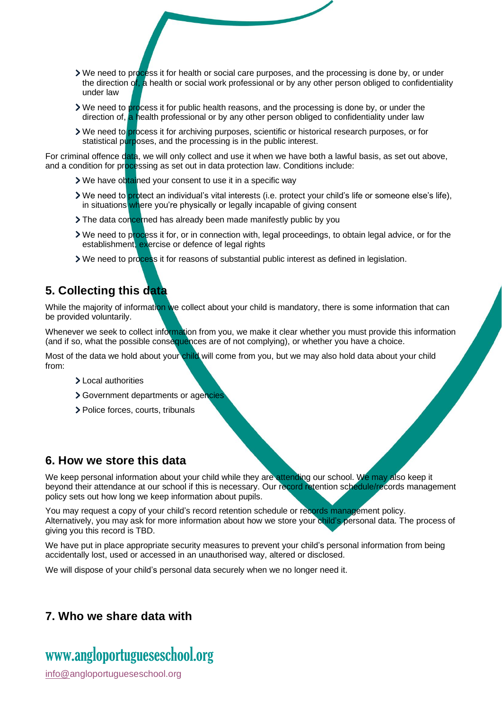- We need to process it for health or social care purposes, and the processing is done by, or under the direction of, a health or social work professional or by any other person obliged to confidentiality under law
- If We need to process it for public health reasons, and the processing is done by, or under the direction of, a health professional or by any other person obliged to confidentiality under law
- We need to process it for archiving purposes, scientific or historical research purposes, or for statistical purposes, and the processing is in the public interest.

For criminal offence data, we will only collect and use it when we have both a lawful basis, as set out above, and a condition for processing as set out in data protection law. Conditions include:

- If We have obtained your consent to use it in a specific way
- **>** We need to protect an individual's vital interests (i.e. protect your child's life or someone else's life), in situations where you're physically or legally incapable of giving consent
- If The data concerned has already been made manifestly public by you
- > We need to process it for, or in connection with, legal proceedings, to obtain legal advice, or for the establishment, exercise or defence of legal rights
- If We need to process it for reasons of substantial public interest as defined in legislation.

#### <span id="page-4-0"></span>**5. Collecting this data**

While the majority of information we collect about your child is mandatory, there is some information that can be provided voluntarily.

Whenever we seek to collect information from you, we make it clear whether you must provide this information (and if so, what the possible consequences are of not complying), or whether you have a choice.

Most of the data we hold about your child will come from you, but we may also hold data about your child from:

- > Local authorities
- Government departments or agencies
- > Police forces, courts, tribunals

#### <span id="page-4-1"></span>**6. How we store this data**

We keep personal information about your child while they are attending our school. We may also keep it beyond their attendance at our school if this is necessary. Our record retention schedule/records management policy sets out how long we keep information about pupils.

You may request a copy of your child's record retention schedule or records management policy. Alternatively, you may ask for more information about how we store your child's personal data. The process of giving you this record is TBD.

We have put in place appropriate security measures to prevent your child's personal information from being accidentally lost, used or accessed in an unauthorised way, altered or disclosed.

We will dispose of your child's personal data securely when we no longer need it.

#### <span id="page-4-2"></span>**7. Who we share data with**

## www[.angloportugueseschool.org](https://angloportugueseschool.org/)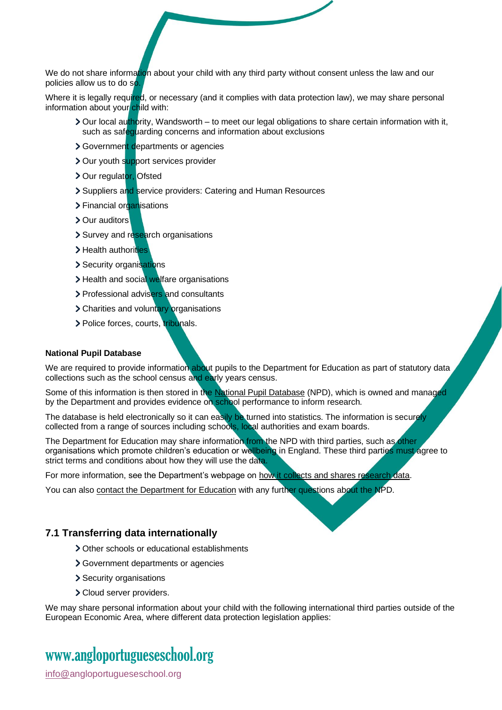We do not share information about your child with any third party without consent unless the law and our policies allow us to do so.

Where it is legally required, or necessary (and it complies with data protection law), we may share personal information about your child with:

- > Our local authority, Wandsworth to meet our legal obligations to share certain information with it, such as safequarding concerns and information about exclusions
- Sovernment departments or agencies
- > Our youth support services provider
- > Our regulator, Ofsted
- Suppliers and service providers: Catering and Human Resources
- > Financial organisations
- > Our auditors
- > Survey and research organisations
- > Health authorities
- > Security organisations
- > Health and social welfare organisations
- > Professional advisers and consultants
- > Charities and voluntary organisations
- > Police forces, courts, tribunals.

#### **National Pupil Database**

We are required to provide information about pupils to the Department for Education as part of statutory data collections such as the school census and early years census.

Some of this information is then stored in the [National Pupil Database](https://www.gov.uk/government/collections/national-pupil-database) (NPD), which is owned and managed by the Department and provides evidence on school performance to inform research.

The database is held electronically so it can easily be turned into statistics. The information is securely collected from a range of sources including schools, local authorities and exam boards.

The Department for Education may share information from the NPD with third parties, such as other organisations which promote children's education or wellbeing in England. These third parties must agree to strict terms and conditions about how they will use the data.

For more information, see the Department's webpage on how it [collects and shares research data.](https://www.gov.uk/data-protection-how-we-collect-and-share-research-data)

You can also [contact the Department for Education](https://www.gov.uk/contact-dfe) with any further questions about the NPD.

#### **7.1 Transferring data internationally**

- > Other schools or educational establishments
- Government departments or agencies
- > Security organisations
- > Cloud server providers.

We may share personal information about your child with the following international third parties outside of the European Economic Area, where different data protection legislation applies:

## www[.angloportugueseschool.org](https://angloportugueseschool.org/)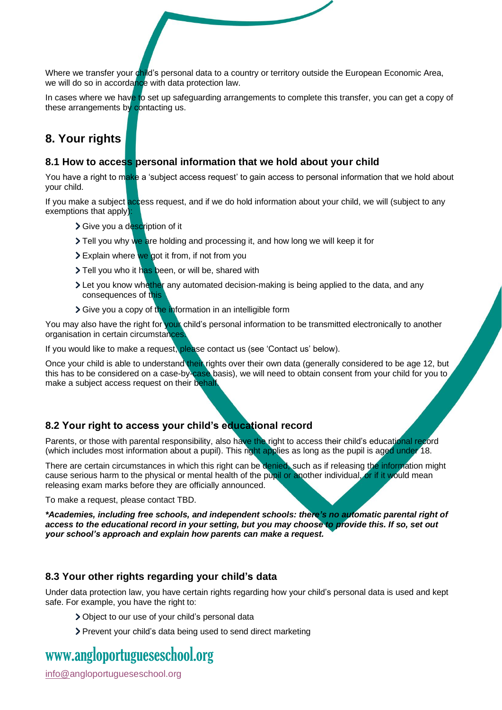Where we transfer your child's personal data to a country or territory outside the European Economic Area, we will do so in accordance with data protection law.

In cases where we have to set up safeguarding arrangements to complete this transfer, you can get a copy of these arrangements by contacting us.

#### <span id="page-6-0"></span>**8. Your rights**

#### **8.1 How to access personal information that we hold about your child**

You have a right to make a 'subject access request' to gain access to personal information that we hold about your child.

If you make a subject access request, and if we do hold information about your child, we will (subject to any exemptions that apply):

- Sive you a description of it
- Tell you why we are holding and processing it, and how long we will keep it for
- > Explain where we got it from, if not from you
- Tell you who it has been, or will be, shared with
- If Let you know whether any automated decision-making is being applied to the data, and any consequences of this
- Sive you a copy of the information in an intelligible form

You may also have the right for your child's personal information to be transmitted electronically to another organisation in certain circumstances.

If you would like to make a request, please contact us (see 'Contact us' below).

Once your child is able to understand their rights over their own data (generally considered to be age 12, but this has to be considered on a case-by-case basis), we will need to obtain consent from your child for you to make a subject access request on their behalf.

#### **8.2 Your right to access your child's educational record**

Parents, or those with parental responsibility, also have the right to access their child's educational record (which includes most information about a pupil). This right applies as long as the pupil is aged under 18.

There are certain circumstances in which this right can be denied, such as if releasing the information might cause serious harm to the physical or mental health of the pupil or another individual, or if it would mean releasing exam marks before they are officially announced.

To make a request, please contact TBD.

*\*Academies, including free schools, and independent schools: there's no automatic parental right of access to the educational record in your setting, but you may choose to provide this. If so, set out your school's approach and explain how parents can make a request.*

#### **8.3 Your other rights regarding your child's data**

Under data protection law, you have certain rights regarding how your child's personal data is used and kept safe. For example, you have the right to:

- Object to our use of your child's personal data
- > Prevent your child's data being used to send direct marketing

## www[.angloportugueseschool.org](https://angloportugueseschool.org/)